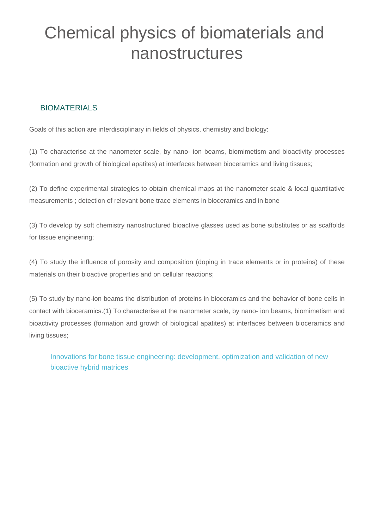# Chemical physics of biomaterials and nanostructures

### BIOMATERIALS

Goals of this action are interdisciplinary in fields of physics, chemistry and biology:

(1) To characterise at the nanometer scale, by nano- ion beams, biomimetism and bioactivity processes (formation and growth of biological apatites) at interfaces between bioceramics and living tissues;

(2) To define experimental strategies to obtain chemical maps at the nanometer scale & local quantitative measurements ; detection of relevant bone trace elements in bioceramics and in bone

(3) To develop by soft chemistry nanostructured bioactive glasses used as bone substitutes or as scaffolds for tissue engineering;

(4) To study the influence of porosity and composition (doping in trace elements or in proteins) of these materials on their bioactive properties and on cellular reactions;

(5) To study by nano-ion beams the distribution of proteins in bioceramics and the behavior of bone cells in contact with bioceramics.(1) To characterise at the nanometer scale, by nano- ion beams, biomimetism and bioactivity processes (formation and growth of biological apatites) at interfaces between bioceramics and living tissues;

Innovations for bone tissue engineering: development, optimization and validation of new bioactive hybrid matrices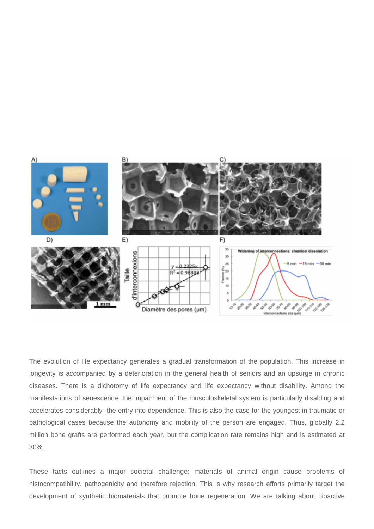

The evolution of life expectancy generates a gradual transformation of the population. This increase in longevity is accompanied by a deterioration in the general health of seniors and an upsurge in chronic diseases. There is a dichotomy of life expectancy and life expectancy without disability. Among the manifestations of senescence, the impairment of the musculoskeletal system is particularly disabling and accelerates considerably the entry into dependence. This is also the case for the youngest in traumatic or pathological cases because the autonomy and mobility of the person are engaged. Thus, globally 2.2 million bone grafts are performed each year, but the complication rate remains high and is estimated at 30%.

These facts outlines a major societal challenge; materials of animal origin cause problems of histocompatibility, pathogenicity and therefore rejection. This is why research efforts primarily target the development of synthetic biomaterials that promote bone regeneration. We are talking about bioactive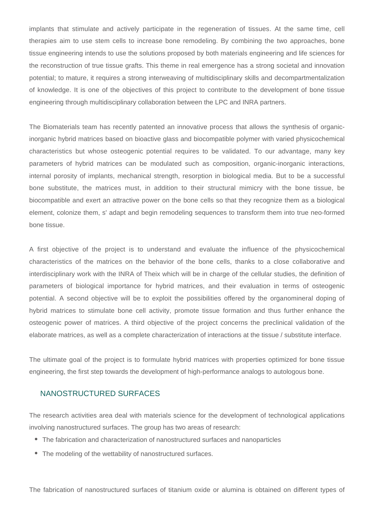implants that stimulate and actively participate in the regeneration of tissues. At the same time, cell therapies aim to use stem cells to increase bone remodeling. By combining the two approaches, bone tissue engineering intends to use the solutions proposed by both materials engineering and life sciences for the reconstruction of true tissue grafts. This theme in real emergence has a strong societal and innovation potential; to mature, it requires a strong interweaving of multidisciplinary skills and decompartmentalization of knowledge. It is one of the objectives of this project to contribute to the development of bone tissue engineering through multidisciplinary collaboration between the LPC and INRA partners.

The Biomaterials team has recently patented an innovative process that allows the synthesis of organicinorganic hybrid matrices based on bioactive glass and biocompatible polymer with varied physicochemical characteristics but whose osteogenic potential requires to be validated. To our advantage, many key parameters of hybrid matrices can be modulated such as composition, organic-inorganic interactions, internal porosity of implants, mechanical strength, resorption in biological media. But to be a successful bone substitute, the matrices must, in addition to their structural mimicry with the bone tissue, be biocompatible and exert an attractive power on the bone cells so that they recognize them as a biological element, colonize them, s' adapt and begin remodeling sequences to transform them into true neo-formed bone tissue.

A first objective of the project is to understand and evaluate the influence of the physicochemical characteristics of the matrices on the behavior of the bone cells, thanks to a close collaborative and interdisciplinary work with the INRA of Theix which will be in charge of the cellular studies, the definition of parameters of biological importance for hybrid matrices, and their evaluation in terms of osteogenic potential. A second objective will be to exploit the possibilities offered by the organomineral doping of hybrid matrices to stimulate bone cell activity, promote tissue formation and thus further enhance the osteogenic power of matrices. A third objective of the project concerns the preclinical validation of the elaborate matrices, as well as a complete characterization of interactions at the tissue / substitute interface.

The ultimate goal of the project is to formulate hybrid matrices with properties optimized for bone tissue engineering, the first step towards the development of high-performance analogs to autologous bone.

#### NANOSTRUCTURED SURFACES

The research activities area deal with materials science for the development of technological applications involving nanostructured surfaces. The group has two areas of research:

- The fabrication and characterization of nanostructured surfaces and nanoparticles
- The modeling of the wettability of nanostructured surfaces.

The fabrication of nanostructured surfaces of titanium oxide or alumina is obtained on different types of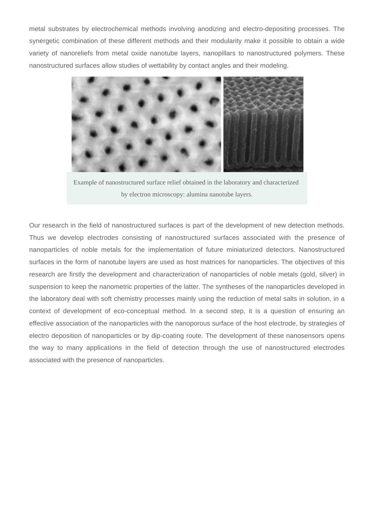metal substrates by electrochemical methods involving anodizing and electro-depositing processes. The synergetic combination of these different methods and their modularity make it possible to obtain a wide variety of nanoreliefs from metal oxide nanotube layers, nanopillars to nanostructured polymers. These nanostructured surfaces allow studies of wettability by contact angles and their modeling.



Example of nanostructured surface relief obtained in the laboratory and characterized by electron microscopy: alumina nanotube layers.

Our research in the field of nanostructured surfaces is part of the development of new detection methods. Thus we develop electrodes consisting of nanostructured surfaces associated with the presence of nanoparticles of noble metals for the implementation of future miniaturized detectors. Nanostructured surfaces in the form of nanotube layers are used as host matrices for nanoparticles. The objectives of this research are firstly the development and characterization of nanoparticles of noble metals (gold, silver) in suspension to keep the nanometric properties of the latter. The syntheses of the nanoparticles developed in the laboratory deal with soft chemistry processes mainly using the reduction of metal salts in solution, in a context of development of eco-conceptual method. In a second step, it is a question of ensuring an effective association of the nanoparticles with the nanoporous surface of the host electrode, by strategies of electro deposition of nanoparticles or by dip-coating route. The development of these nanosensors opens the way to many applications in the field of detection through the use of nanostructured electrodes associated with the presence of nanoparticles.